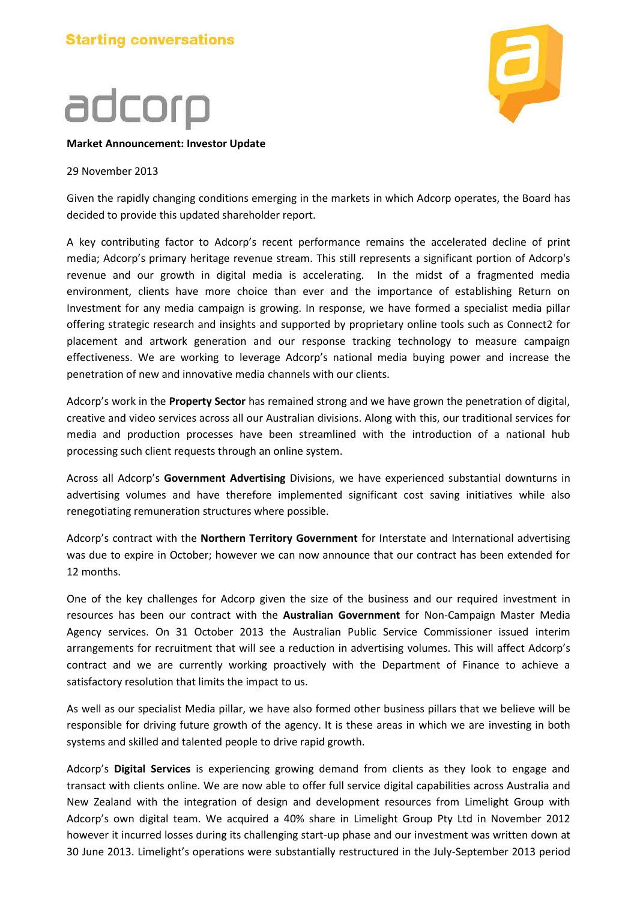## adcorp



## **Market Announcement: Investor Update**

## 29 November 2013

Given the rapidly changing conditions emerging in the markets in which Adcorp operates, the Board has decided to provide this updated shareholder report.

A key contributing factor to Adcorp's recent performance remains the accelerated decline of print media; Adcorp's primary heritage revenue stream. This still represents a significant portion of Adcorp's revenue and our growth in digital media is accelerating. In the midst of a fragmented media environment, clients have more choice than ever and the importance of establishing Return on Investment for any media campaign is growing. In response, we have formed a specialist media pillar offering strategic research and insights and supported by proprietary online tools such as Connect2 for placement and artwork generation and our response tracking technology to measure campaign effectiveness. We are working to leverage Adcorp's national media buying power and increase the penetration of new and innovative media channels with our clients.

Adcorp's work in the **Property Sector** has remained strong and we have grown the penetration of digital, creative and video services across all our Australian divisions. Along with this, our traditional services for media and production processes have been streamlined with the introduction of a national hub processing such client requests through an online system.

Across all Adcorp's **Government Advertising** Divisions, we have experienced substantial downturns in advertising volumes and have therefore implemented significant cost saving initiatives while also renegotiating remuneration structures where possible.

Adcorp's contract with the **Northern Territory Government** for Interstate and International advertising was due to expire in October; however we can now announce that our contract has been extended for 12 months.

One of the key challenges for Adcorp given the size of the business and our required investment in resources has been our contract with the **Australian Government** for Non-Campaign Master Media Agency services. On 31 October 2013 the Australian Public Service Commissioner issued interim arrangements for recruitment that will see a reduction in advertising volumes. This will affect Adcorp's contract and we are currently working proactively with the Department of Finance to achieve a satisfactory resolution that limits the impact to us.

As well as our specialist Media pillar, we have also formed other business pillars that we believe will be responsible for driving future growth of the agency. It is these areas in which we are investing in both systems and skilled and talented people to drive rapid growth.

Adcorp's **Digital Services** is experiencing growing demand from clients as they look to engage and transact with clients online. We are now able to offer full service digital capabilities across Australia and New Zealand with the integration of design and development resources from Limelight Group with Adcorp's own digital team. We acquired a 40% share in Limelight Group Pty Ltd in November 2012 however it incurred losses during its challenging start-up phase and our investment was written down at 30 June 2013. Limelight's operations were substantially restructured in the July-September 2013 period